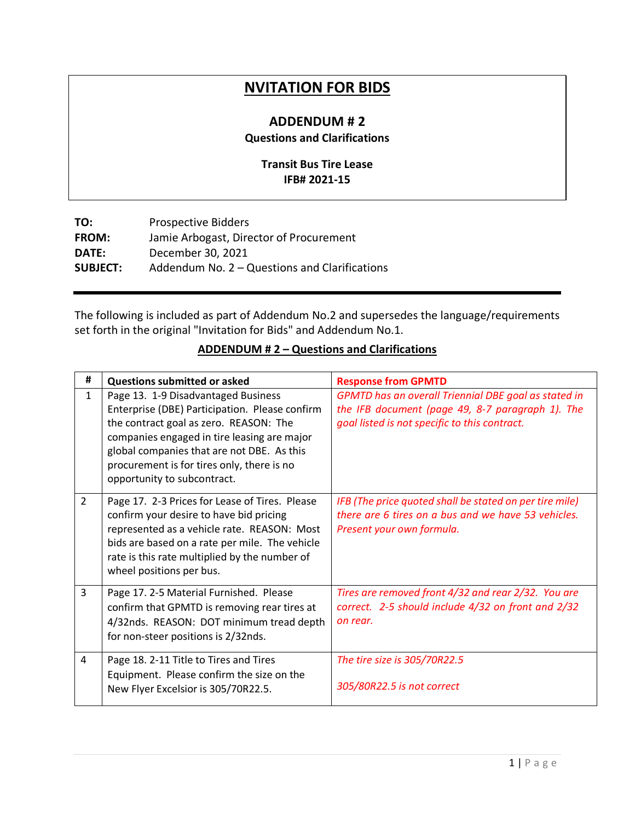## **NVITATION FOR BIDS**

## **ADDENDUM # 2 Questions and Clarifications**

## **Transit Bus Tire Lease IFB# 2021-15**

| <b>Prospective Bidders</b>                    |
|-----------------------------------------------|
| Jamie Arbogast, Director of Procurement       |
| December 30, 2021                             |
| Addendum No. 2 – Questions and Clarifications |
|                                               |

The following is included as part of Addendum No.2 and supersedes the language/requirements set forth in the original "Invitation for Bids" and Addendum No.1.

## **ADDENDUM # 2 – Questions and Clarifications**

| #              | <b>Questions submitted or asked</b>                                                                                                                                                                                                                                                                       | <b>Response from GPMTD</b>                                                                                                                                |
|----------------|-----------------------------------------------------------------------------------------------------------------------------------------------------------------------------------------------------------------------------------------------------------------------------------------------------------|-----------------------------------------------------------------------------------------------------------------------------------------------------------|
| $\mathbf{1}$   | Page 13. 1-9 Disadvantaged Business<br>Enterprise (DBE) Participation. Please confirm<br>the contract goal as zero. REASON: The<br>companies engaged in tire leasing are major<br>global companies that are not DBE. As this<br>procurement is for tires only, there is no<br>opportunity to subcontract. | GPMTD has an overall Triennial DBE goal as stated in<br>the IFB document (page 49, 8-7 paragraph 1). The<br>goal listed is not specific to this contract. |
| $\overline{2}$ | Page 17. 2-3 Prices for Lease of Tires. Please<br>confirm your desire to have bid pricing<br>represented as a vehicle rate. REASON: Most<br>bids are based on a rate per mile. The vehicle<br>rate is this rate multiplied by the number of<br>wheel positions per bus.                                   | IFB (The price quoted shall be stated on per tire mile)<br>there are 6 tires on a bus and we have 53 vehicles.<br>Present your own formula.               |
| 3              | Page 17. 2-5 Material Furnished. Please<br>confirm that GPMTD is removing rear tires at<br>4/32nds. REASON: DOT minimum tread depth<br>for non-steer positions is 2/32nds.                                                                                                                                | Tires are removed front 4/32 and rear 2/32. You are<br>correct. 2-5 should include 4/32 on front and 2/32<br>on rear.                                     |
| 4              | Page 18. 2-11 Title to Tires and Tires<br>Equipment. Please confirm the size on the<br>New Flyer Excelsior is 305/70R22.5.                                                                                                                                                                                | The tire size is 305/70R22.5<br>305/80R22.5 is not correct                                                                                                |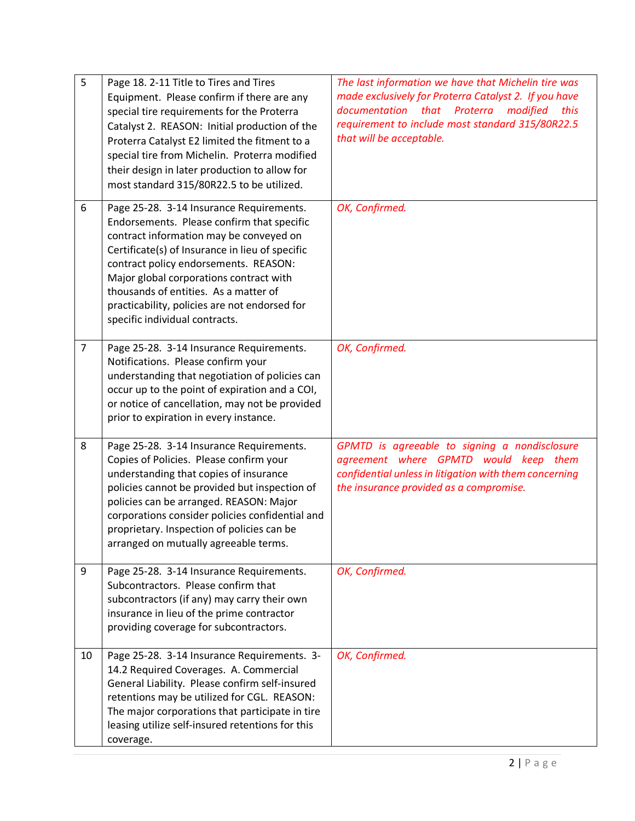| 5              | Page 18. 2-11 Title to Tires and Tires<br>Equipment. Please confirm if there are any<br>special tire requirements for the Proterra<br>Catalyst 2. REASON: Initial production of the<br>Proterra Catalyst E2 limited the fitment to a<br>special tire from Michelin. Proterra modified<br>their design in later production to allow for<br>most standard 315/80R22.5 to be utilized.                  | The last information we have that Michelin tire was<br>made exclusively for Proterra Catalyst 2. If you have<br>that Proterra<br>documentation<br>modified<br>this<br>requirement to include most standard 315/80R22.5<br>that will be acceptable. |
|----------------|------------------------------------------------------------------------------------------------------------------------------------------------------------------------------------------------------------------------------------------------------------------------------------------------------------------------------------------------------------------------------------------------------|----------------------------------------------------------------------------------------------------------------------------------------------------------------------------------------------------------------------------------------------------|
| 6              | Page 25-28. 3-14 Insurance Requirements.<br>Endorsements. Please confirm that specific<br>contract information may be conveyed on<br>Certificate(s) of Insurance in lieu of specific<br>contract policy endorsements. REASON:<br>Major global corporations contract with<br>thousands of entities. As a matter of<br>practicability, policies are not endorsed for<br>specific individual contracts. | OK, Confirmed.                                                                                                                                                                                                                                     |
| $\overline{7}$ | Page 25-28. 3-14 Insurance Requirements.<br>Notifications. Please confirm your<br>understanding that negotiation of policies can<br>occur up to the point of expiration and a COI,<br>or notice of cancellation, may not be provided<br>prior to expiration in every instance.                                                                                                                       | OK, Confirmed.                                                                                                                                                                                                                                     |
| 8              | Page 25-28. 3-14 Insurance Requirements.<br>Copies of Policies. Please confirm your<br>understanding that copies of insurance<br>policies cannot be provided but inspection of<br>policies can be arranged. REASON: Major<br>corporations consider policies confidential and<br>proprietary. Inspection of policies can be<br>arranged on mutually agreeable terms.                                  | GPMTD is agreeable to signing a nondisclosure<br>agreement where GPMTD would keep them<br>confidential unless in litigation with them concerning<br>the insurance provided as a compromise.                                                        |
| 9              | Page 25-28. 3-14 Insurance Requirements.<br>Subcontractors. Please confirm that<br>subcontractors (if any) may carry their own<br>insurance in lieu of the prime contractor<br>providing coverage for subcontractors.                                                                                                                                                                                | OK, Confirmed.                                                                                                                                                                                                                                     |
| 10             | Page 25-28. 3-14 Insurance Requirements. 3-<br>14.2 Required Coverages. A. Commercial<br>General Liability. Please confirm self-insured<br>retentions may be utilized for CGL. REASON:<br>The major corporations that participate in tire<br>leasing utilize self-insured retentions for this<br>coverage.                                                                                           | OK, Confirmed.                                                                                                                                                                                                                                     |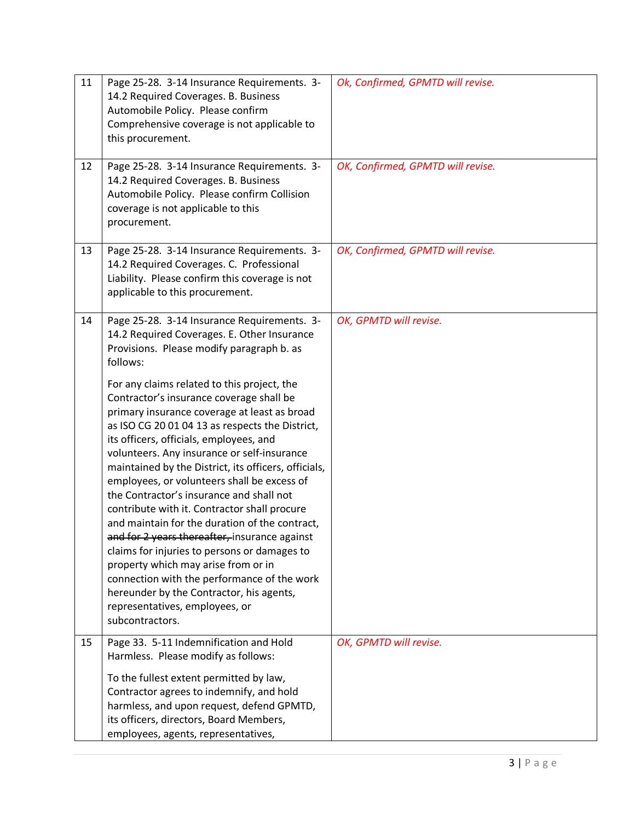| 11 | Page 25-28. 3-14 Insurance Requirements. 3-<br>14.2 Required Coverages. B. Business<br>Automobile Policy. Please confirm<br>Comprehensive coverage is not applicable to<br>this procurement.                                                                                                                                                                                                                                                                                                                                                                                                                                                                                                                                                                                                                                      | Ok, Confirmed, GPMTD will revise. |
|----|-----------------------------------------------------------------------------------------------------------------------------------------------------------------------------------------------------------------------------------------------------------------------------------------------------------------------------------------------------------------------------------------------------------------------------------------------------------------------------------------------------------------------------------------------------------------------------------------------------------------------------------------------------------------------------------------------------------------------------------------------------------------------------------------------------------------------------------|-----------------------------------|
| 12 | Page 25-28. 3-14 Insurance Requirements. 3-<br>14.2 Required Coverages. B. Business<br>Automobile Policy. Please confirm Collision<br>coverage is not applicable to this<br>procurement.                                                                                                                                                                                                                                                                                                                                                                                                                                                                                                                                                                                                                                          | OK, Confirmed, GPMTD will revise. |
| 13 | Page 25-28. 3-14 Insurance Requirements. 3-<br>14.2 Required Coverages. C. Professional<br>Liability. Please confirm this coverage is not<br>applicable to this procurement.                                                                                                                                                                                                                                                                                                                                                                                                                                                                                                                                                                                                                                                      | OK, Confirmed, GPMTD will revise. |
| 14 | Page 25-28. 3-14 Insurance Requirements. 3-<br>14.2 Required Coverages. E. Other Insurance<br>Provisions. Please modify paragraph b. as<br>follows:                                                                                                                                                                                                                                                                                                                                                                                                                                                                                                                                                                                                                                                                               | OK, GPMTD will revise.            |
|    | For any claims related to this project, the<br>Contractor's insurance coverage shall be<br>primary insurance coverage at least as broad<br>as ISO CG 20 01 04 13 as respects the District,<br>its officers, officials, employees, and<br>volunteers. Any insurance or self-insurance<br>maintained by the District, its officers, officials,<br>employees, or volunteers shall be excess of<br>the Contractor's insurance and shall not<br>contribute with it. Contractor shall procure<br>and maintain for the duration of the contract,<br>and for 2 years thereafter, insurance against<br>claims for injuries to persons or damages to<br>property which may arise from or in<br>connection with the performance of the work<br>hereunder by the Contractor, his agents,<br>representatives, employees, or<br>subcontractors. |                                   |
| 15 | Page 33. 5-11 Indemnification and Hold<br>Harmless. Please modify as follows:<br>To the fullest extent permitted by law,<br>Contractor agrees to indemnify, and hold<br>harmless, and upon request, defend GPMTD,<br>its officers, directors, Board Members,<br>employees, agents, representatives,                                                                                                                                                                                                                                                                                                                                                                                                                                                                                                                               | OK, GPMTD will revise.            |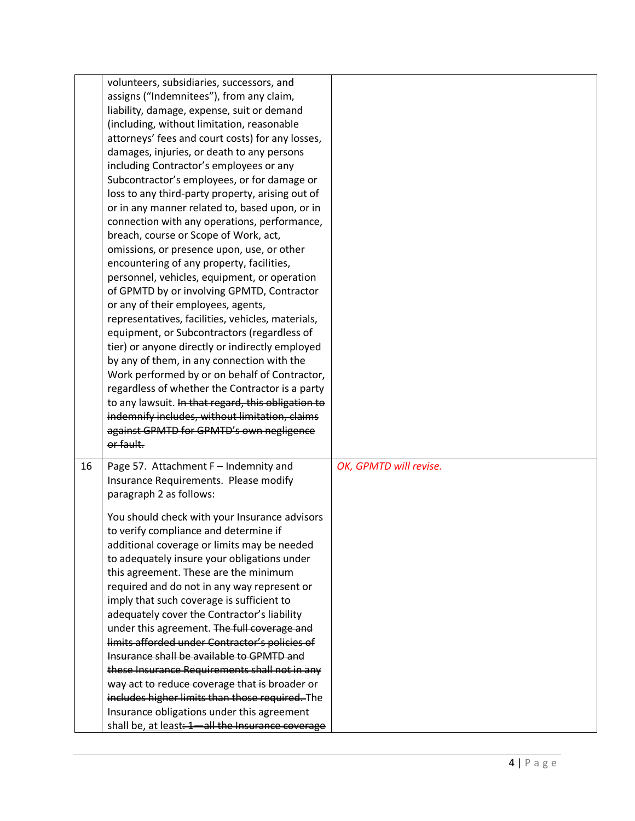|    | volunteers, subsidiaries, successors, and          |                        |
|----|----------------------------------------------------|------------------------|
|    | assigns ("Indemnitees"), from any claim,           |                        |
|    | liability, damage, expense, suit or demand         |                        |
|    | (including, without limitation, reasonable         |                        |
|    | attorneys' fees and court costs) for any losses,   |                        |
|    | damages, injuries, or death to any persons         |                        |
|    | including Contractor's employees or any            |                        |
|    | Subcontractor's employees, or for damage or        |                        |
|    | loss to any third-party property, arising out of   |                        |
|    |                                                    |                        |
|    | or in any manner related to, based upon, or in     |                        |
|    | connection with any operations, performance,       |                        |
|    | breach, course or Scope of Work, act,              |                        |
|    | omissions, or presence upon, use, or other         |                        |
|    | encountering of any property, facilities,          |                        |
|    | personnel, vehicles, equipment, or operation       |                        |
|    | of GPMTD by or involving GPMTD, Contractor         |                        |
|    | or any of their employees, agents,                 |                        |
|    | representatives, facilities, vehicles, materials,  |                        |
|    | equipment, or Subcontractors (regardless of        |                        |
|    | tier) or anyone directly or indirectly employed    |                        |
|    | by any of them, in any connection with the         |                        |
|    | Work performed by or on behalf of Contractor,      |                        |
|    | regardless of whether the Contractor is a party    |                        |
|    | to any lawsuit. In that regard, this obligation to |                        |
|    | indemnify includes, without limitation, claims     |                        |
|    | against GPMTD for GPMTD's own negligence           |                        |
|    | or fault.                                          |                        |
| 16 | Page 57. Attachment F - Indemnity and              | OK, GPMTD will revise. |
|    | Insurance Requirements. Please modify              |                        |
|    | paragraph 2 as follows:                            |                        |
|    |                                                    |                        |
|    | You should check with your Insurance advisors      |                        |
|    | to verify compliance and determine if              |                        |
|    | additional coverage or limits may be needed        |                        |
|    | to adequately insure your obligations under        |                        |
|    | this agreement. These are the minimum              |                        |
|    | required and do not in any way represent or        |                        |
|    | imply that such coverage is sufficient to          |                        |
|    | adequately cover the Contractor's liability        |                        |
|    | under this agreement. The full coverage and        |                        |
|    | limits afforded under Contractor's policies of     |                        |
|    | Insurance shall be available to GPMTD and          |                        |
|    | these Insurance Requirements shall not in any      |                        |
|    | way act to reduce coverage that is broader or      |                        |
|    | includes higher limits than those required. The    |                        |
|    | Insurance obligations under this agreement         |                        |
|    |                                                    |                        |
|    | shall be, at least: 1-all the Insurance coverage   |                        |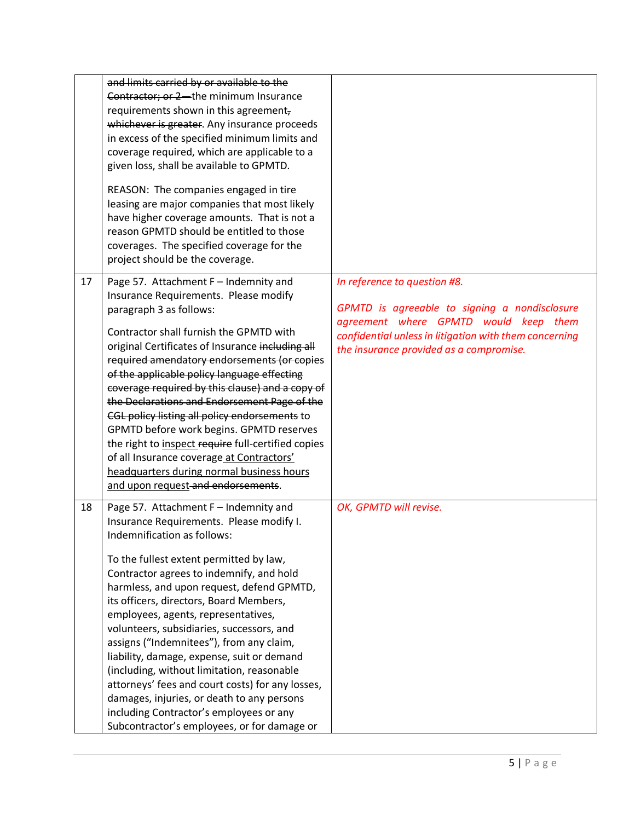|    | and limits carried by or available to the                                                                                                                                                                                                                        |                                                        |
|----|------------------------------------------------------------------------------------------------------------------------------------------------------------------------------------------------------------------------------------------------------------------|--------------------------------------------------------|
|    | Contractor; or 2-the minimum Insurance                                                                                                                                                                                                                           |                                                        |
|    | requirements shown in this agreement,                                                                                                                                                                                                                            |                                                        |
|    | whichever is greater. Any insurance proceeds                                                                                                                                                                                                                     |                                                        |
|    | in excess of the specified minimum limits and                                                                                                                                                                                                                    |                                                        |
|    | coverage required, which are applicable to a                                                                                                                                                                                                                     |                                                        |
|    | given loss, shall be available to GPMTD.                                                                                                                                                                                                                         |                                                        |
|    | REASON: The companies engaged in tire<br>leasing are major companies that most likely<br>have higher coverage amounts. That is not a<br>reason GPMTD should be entitled to those<br>coverages. The specified coverage for the<br>project should be the coverage. |                                                        |
| 17 | Page 57. Attachment F - Indemnity and                                                                                                                                                                                                                            | In reference to question #8.                           |
|    | Insurance Requirements. Please modify                                                                                                                                                                                                                            |                                                        |
|    | paragraph 3 as follows:                                                                                                                                                                                                                                          | GPMTD is agreeable to signing a nondisclosure          |
|    | Contractor shall furnish the GPMTD with                                                                                                                                                                                                                          | agreement where GPMTD would keep them                  |
|    | original Certificates of Insurance including all                                                                                                                                                                                                                 | confidential unless in litigation with them concerning |
|    | required amendatory endorsements (or copies                                                                                                                                                                                                                      | the insurance provided as a compromise.                |
|    | of the applicable policy language effecting                                                                                                                                                                                                                      |                                                        |
|    | coverage required by this clause) and a copy of                                                                                                                                                                                                                  |                                                        |
|    | the Declarations and Endorsement Page of the                                                                                                                                                                                                                     |                                                        |
|    | CGL policy listing all policy endorsements to                                                                                                                                                                                                                    |                                                        |
|    | GPMTD before work begins. GPMTD reserves                                                                                                                                                                                                                         |                                                        |
|    | the right to inspect require full-certified copies                                                                                                                                                                                                               |                                                        |
|    | of all Insurance coverage at Contractors'                                                                                                                                                                                                                        |                                                        |
|    | headquarters during normal business hours                                                                                                                                                                                                                        |                                                        |
|    | and upon request and endorsements.                                                                                                                                                                                                                               |                                                        |
| 18 | Page 57. Attachment F - Indemnity and                                                                                                                                                                                                                            | OK, GPMTD will revise.                                 |
|    | Insurance Requirements. Please modify I.                                                                                                                                                                                                                         |                                                        |
|    | Indemnification as follows:                                                                                                                                                                                                                                      |                                                        |
|    | To the fullest extent permitted by law,                                                                                                                                                                                                                          |                                                        |
|    | Contractor agrees to indemnify, and hold                                                                                                                                                                                                                         |                                                        |
|    | harmless, and upon request, defend GPMTD,                                                                                                                                                                                                                        |                                                        |
|    | its officers, directors, Board Members,                                                                                                                                                                                                                          |                                                        |
|    | employees, agents, representatives,                                                                                                                                                                                                                              |                                                        |
|    | volunteers, subsidiaries, successors, and                                                                                                                                                                                                                        |                                                        |
|    | assigns ("Indemnitees"), from any claim,                                                                                                                                                                                                                         |                                                        |
|    | liability, damage, expense, suit or demand                                                                                                                                                                                                                       |                                                        |
|    | (including, without limitation, reasonable                                                                                                                                                                                                                       |                                                        |
|    | attorneys' fees and court costs) for any losses,                                                                                                                                                                                                                 |                                                        |
|    | damages, injuries, or death to any persons                                                                                                                                                                                                                       |                                                        |
|    | including Contractor's employees or any                                                                                                                                                                                                                          |                                                        |
|    | Subcontractor's employees, or for damage or                                                                                                                                                                                                                      |                                                        |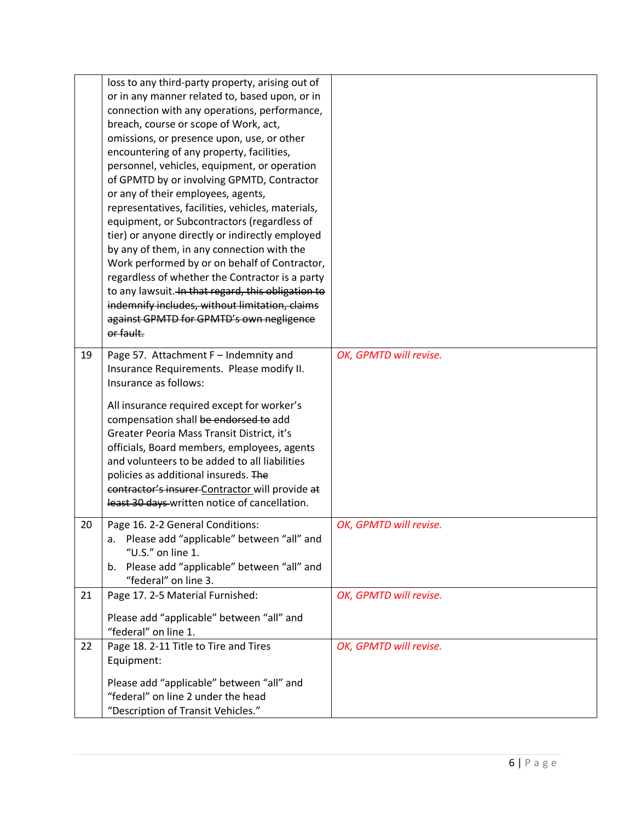|    | loss to any third-party property, arising out of                                   |                        |
|----|------------------------------------------------------------------------------------|------------------------|
|    | or in any manner related to, based upon, or in                                     |                        |
|    | connection with any operations, performance,                                       |                        |
|    | breach, course or scope of Work, act,                                              |                        |
|    | omissions, or presence upon, use, or other                                         |                        |
|    | encountering of any property, facilities,                                          |                        |
|    | personnel, vehicles, equipment, or operation                                       |                        |
|    | of GPMTD by or involving GPMTD, Contractor                                         |                        |
|    | or any of their employees, agents,                                                 |                        |
|    | representatives, facilities, vehicles, materials,                                  |                        |
|    | equipment, or Subcontractors (regardless of                                        |                        |
|    | tier) or anyone directly or indirectly employed                                    |                        |
|    | by any of them, in any connection with the                                         |                        |
|    | Work performed by or on behalf of Contractor,                                      |                        |
|    | regardless of whether the Contractor is a party                                    |                        |
|    | to any lawsuit. In that regard, this obligation to                                 |                        |
|    | indemnify includes, without limitation, claims                                     |                        |
|    | against GPMTD for GPMTD's own negligence                                           |                        |
|    | or fault.                                                                          |                        |
|    |                                                                                    | OK, GPMTD will revise. |
| 19 | Page 57. Attachment F - Indemnity and<br>Insurance Requirements. Please modify II. |                        |
|    | Insurance as follows:                                                              |                        |
|    |                                                                                    |                        |
|    | All insurance required except for worker's                                         |                        |
|    | compensation shall be endorsed to add                                              |                        |
|    | Greater Peoria Mass Transit District, it's                                         |                        |
|    | officials, Board members, employees, agents                                        |                        |
|    | and volunteers to be added to all liabilities                                      |                        |
|    | policies as additional insureds. The                                               |                        |
|    | contractor's insurer Contractor will provide at                                    |                        |
|    | least 30 days written notice of cancellation.                                      |                        |
| 20 | Page 16. 2-2 General Conditions:                                                   | OK, GPMTD will revise. |
|    | a. Please add "applicable" between "all" and                                       |                        |
|    | "U.S." on line 1.                                                                  |                        |
|    | b. Please add "applicable" between "all" and                                       |                        |
|    | "federal" on line 3.                                                               |                        |
| 21 | Page 17. 2-5 Material Furnished:                                                   | OK, GPMTD will revise. |
|    |                                                                                    |                        |
|    | Please add "applicable" between "all" and                                          |                        |
|    | "federal" on line 1.                                                               |                        |
| 22 | Page 18. 2-11 Title to Tire and Tires                                              | OK, GPMTD will revise. |
|    | Equipment:                                                                         |                        |
|    | Please add "applicable" between "all" and                                          |                        |
|    |                                                                                    |                        |
|    | "federal" on line 2 under the head                                                 |                        |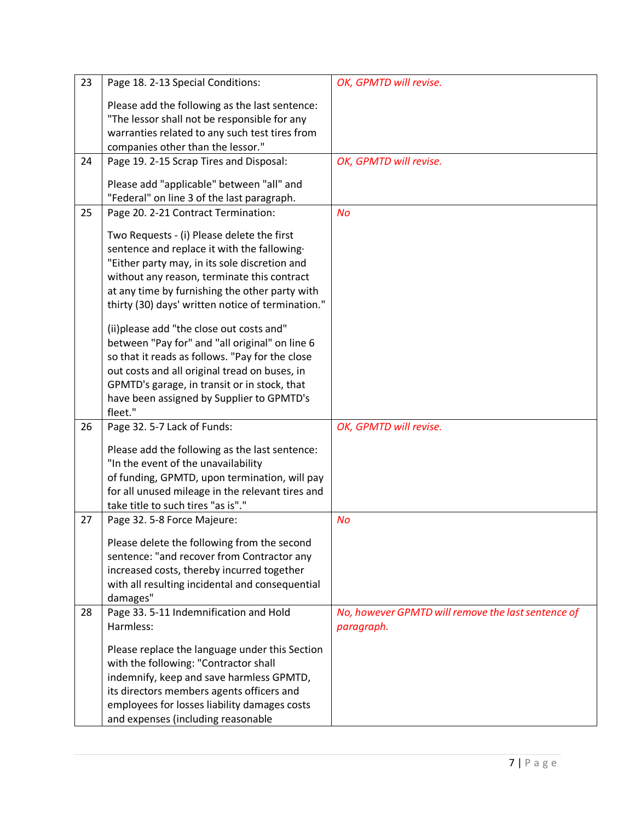| 23 | Page 18. 2-13 Special Conditions:                 | OK, GPMTD will revise.                             |
|----|---------------------------------------------------|----------------------------------------------------|
|    | Please add the following as the last sentence:    |                                                    |
|    | "The lessor shall not be responsible for any      |                                                    |
|    | warranties related to any such test tires from    |                                                    |
|    | companies other than the lessor."                 |                                                    |
| 24 | Page 19. 2-15 Scrap Tires and Disposal:           | OK, GPMTD will revise.                             |
|    |                                                   |                                                    |
|    | Please add "applicable" between "all" and         |                                                    |
|    | "Federal" on line 3 of the last paragraph.        |                                                    |
| 25 | Page 20. 2-21 Contract Termination:               | <b>No</b>                                          |
|    | Two Requests - (i) Please delete the first        |                                                    |
|    | sentence and replace it with the fallowing.       |                                                    |
|    | "Either party may, in its sole discretion and     |                                                    |
|    | without any reason, terminate this contract       |                                                    |
|    | at any time by furnishing the other party with    |                                                    |
|    | thirty (30) days' written notice of termination." |                                                    |
|    |                                                   |                                                    |
|    | (ii) please add "the close out costs and"         |                                                    |
|    | between "Pay for" and "all original" on line 6    |                                                    |
|    | so that it reads as follows. "Pay for the close   |                                                    |
|    | out costs and all original tread on buses, in     |                                                    |
|    | GPMTD's garage, in transit or in stock, that      |                                                    |
|    | have been assigned by Supplier to GPMTD's         |                                                    |
| 26 | fleet."<br>Page 32. 5-7 Lack of Funds:            | OK, GPMTD will revise.                             |
|    |                                                   |                                                    |
|    | Please add the following as the last sentence:    |                                                    |
|    | "In the event of the unavailability               |                                                    |
|    | of funding, GPMTD, upon termination, will pay     |                                                    |
|    | for all unused mileage in the relevant tires and  |                                                    |
|    | take title to such tires "as is"."                |                                                    |
| 27 | Page 32. 5-8 Force Majeure:                       | <b>No</b>                                          |
|    | Please delete the following from the second       |                                                    |
|    | sentence: "and recover from Contractor any        |                                                    |
|    | increased costs, thereby incurred together        |                                                    |
|    | with all resulting incidental and consequential   |                                                    |
|    | damages"                                          |                                                    |
| 28 | Page 33. 5-11 Indemnification and Hold            | No, however GPMTD will remove the last sentence of |
|    | Harmless:                                         | paragraph.                                         |
|    | Please replace the language under this Section    |                                                    |
|    | with the following: "Contractor shall             |                                                    |
|    | indemnify, keep and save harmless GPMTD,          |                                                    |
|    | its directors members agents officers and         |                                                    |
|    | employees for losses liability damages costs      |                                                    |
|    | and expenses (including reasonable                |                                                    |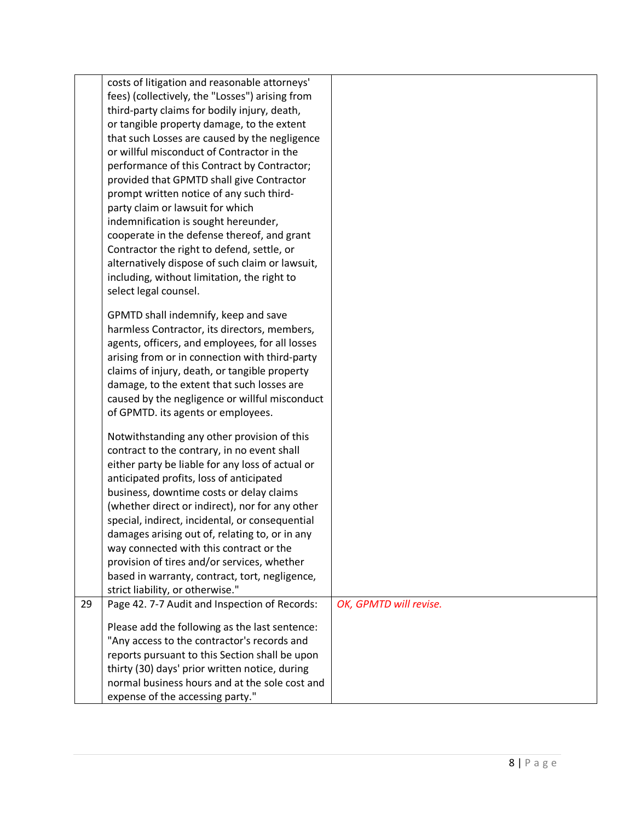|    | costs of litigation and reasonable attorneys'    |                        |
|----|--------------------------------------------------|------------------------|
|    | fees) (collectively, the "Losses") arising from  |                        |
|    | third-party claims for bodily injury, death,     |                        |
|    | or tangible property damage, to the extent       |                        |
|    | that such Losses are caused by the negligence    |                        |
|    | or willful misconduct of Contractor in the       |                        |
|    | performance of this Contract by Contractor;      |                        |
|    | provided that GPMTD shall give Contractor        |                        |
|    | prompt written notice of any such third-         |                        |
|    | party claim or lawsuit for which                 |                        |
|    | indemnification is sought hereunder,             |                        |
|    | cooperate in the defense thereof, and grant      |                        |
|    |                                                  |                        |
|    | Contractor the right to defend, settle, or       |                        |
|    | alternatively dispose of such claim or lawsuit,  |                        |
|    | including, without limitation, the right to      |                        |
|    | select legal counsel.                            |                        |
|    | GPMTD shall indemnify, keep and save             |                        |
|    | harmless Contractor, its directors, members,     |                        |
|    | agents, officers, and employees, for all losses  |                        |
|    | arising from or in connection with third-party   |                        |
|    | claims of injury, death, or tangible property    |                        |
|    | damage, to the extent that such losses are       |                        |
|    | caused by the negligence or willful misconduct   |                        |
|    | of GPMTD. its agents or employees.               |                        |
|    |                                                  |                        |
|    | Notwithstanding any other provision of this      |                        |
|    | contract to the contrary, in no event shall      |                        |
|    | either party be liable for any loss of actual or |                        |
|    | anticipated profits, loss of anticipated         |                        |
|    | business, downtime costs or delay claims         |                        |
|    | (whether direct or indirect), nor for any other  |                        |
|    | special, indirect, incidental, or consequential  |                        |
|    | damages arising out of, relating to, or in any   |                        |
|    | way connected with this contract or the          |                        |
|    | provision of tires and/or services, whether      |                        |
|    | based in warranty, contract, tort, negligence,   |                        |
|    | strict liability, or otherwise."                 |                        |
| 29 | Page 42. 7-7 Audit and Inspection of Records:    | OK, GPMTD will revise. |
|    | Please add the following as the last sentence:   |                        |
|    | "Any access to the contractor's records and      |                        |
|    | reports pursuant to this Section shall be upon   |                        |
|    | thirty (30) days' prior written notice, during   |                        |
|    | normal business hours and at the sole cost and   |                        |
|    | expense of the accessing party."                 |                        |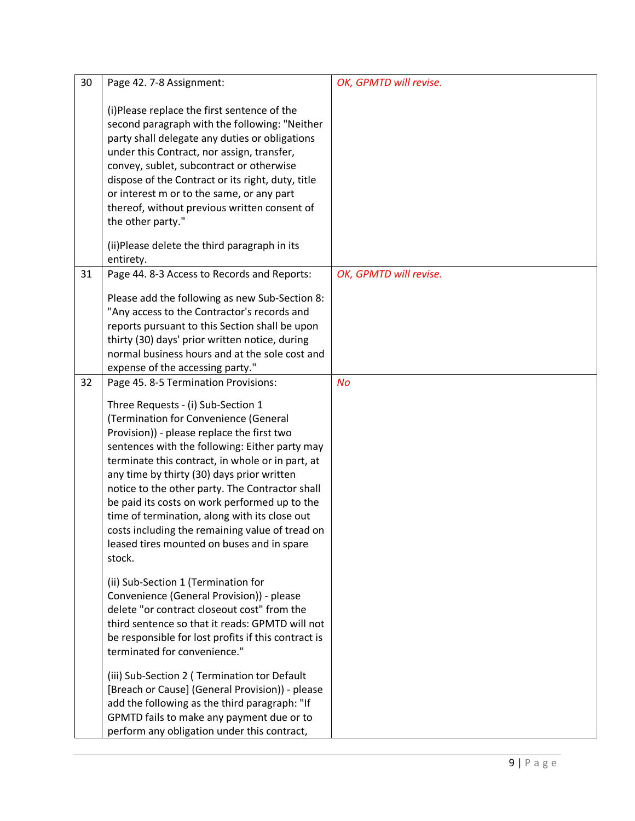| 30 | Page 42. 7-8 Assignment:                                                                                                                                                                                                                                                                                                                                                                                                                                                                                                                      | OK, GPMTD will revise. |
|----|-----------------------------------------------------------------------------------------------------------------------------------------------------------------------------------------------------------------------------------------------------------------------------------------------------------------------------------------------------------------------------------------------------------------------------------------------------------------------------------------------------------------------------------------------|------------------------|
|    | (i)Please replace the first sentence of the<br>second paragraph with the following: "Neither<br>party shall delegate any duties or obligations<br>under this Contract, nor assign, transfer,<br>convey, sublet, subcontract or otherwise<br>dispose of the Contract or its right, duty, title<br>or interest m or to the same, or any part<br>thereof, without previous written consent of<br>the other party."<br>(ii)Please delete the third paragraph in its                                                                               |                        |
|    | entirety.                                                                                                                                                                                                                                                                                                                                                                                                                                                                                                                                     |                        |
| 31 | Page 44. 8-3 Access to Records and Reports:<br>Please add the following as new Sub-Section 8:<br>"Any access to the Contractor's records and<br>reports pursuant to this Section shall be upon<br>thirty (30) days' prior written notice, during<br>normal business hours and at the sole cost and<br>expense of the accessing party."                                                                                                                                                                                                        | OK, GPMTD will revise. |
| 32 | Page 45. 8-5 Termination Provisions:                                                                                                                                                                                                                                                                                                                                                                                                                                                                                                          | No                     |
|    | Three Requests - (i) Sub-Section 1<br>(Termination for Convenience (General<br>Provision)) - please replace the first two<br>sentences with the following: Either party may<br>terminate this contract, in whole or in part, at<br>any time by thirty (30) days prior written<br>notice to the other party. The Contractor shall<br>be paid its costs on work performed up to the<br>time of termination, along with its close out<br>costs including the remaining value of tread on<br>leased tires mounted on buses and in spare<br>stock. |                        |
|    | (ii) Sub-Section 1 (Termination for<br>Convenience (General Provision)) - please<br>delete "or contract closeout cost" from the<br>third sentence so that it reads: GPMTD will not<br>be responsible for lost profits if this contract is<br>terminated for convenience."<br>(iii) Sub-Section 2 ( Termination tor Default<br>[Breach or Cause] (General Provision)) - please<br>add the following as the third paragraph: "If                                                                                                                |                        |
|    | GPMTD fails to make any payment due or to<br>perform any obligation under this contract,                                                                                                                                                                                                                                                                                                                                                                                                                                                      |                        |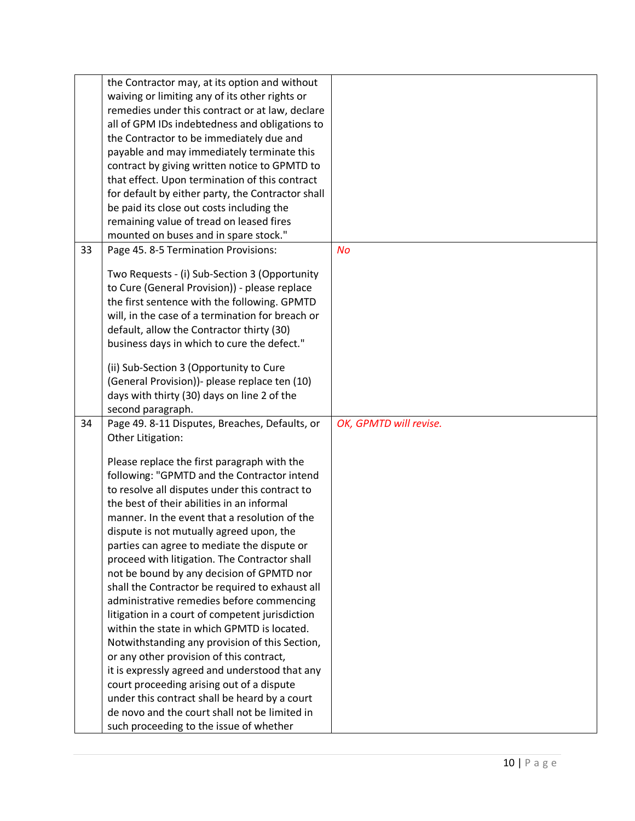|    | the Contractor may, at its option and without     |                        |
|----|---------------------------------------------------|------------------------|
|    | waiving or limiting any of its other rights or    |                        |
|    | remedies under this contract or at law, declare   |                        |
|    | all of GPM IDs indebtedness and obligations to    |                        |
|    | the Contractor to be immediately due and          |                        |
|    | payable and may immediately terminate this        |                        |
|    | contract by giving written notice to GPMTD to     |                        |
|    | that effect. Upon termination of this contract    |                        |
|    | for default by either party, the Contractor shall |                        |
|    | be paid its close out costs including the         |                        |
|    | remaining value of tread on leased fires          |                        |
|    | mounted on buses and in spare stock."             |                        |
| 33 | Page 45. 8-5 Termination Provisions:              | <b>No</b>              |
|    |                                                   |                        |
|    | Two Requests - (i) Sub-Section 3 (Opportunity     |                        |
|    | to Cure (General Provision)) - please replace     |                        |
|    | the first sentence with the following. GPMTD      |                        |
|    | will, in the case of a termination for breach or  |                        |
|    | default, allow the Contractor thirty (30)         |                        |
|    | business days in which to cure the defect."       |                        |
|    |                                                   |                        |
|    | (ii) Sub-Section 3 (Opportunity to Cure           |                        |
|    | (General Provision))- please replace ten (10)     |                        |
|    | days with thirty (30) days on line 2 of the       |                        |
|    | second paragraph.                                 |                        |
| 34 | Page 49. 8-11 Disputes, Breaches, Defaults, or    | OK, GPMTD will revise. |
|    | Other Litigation:                                 |                        |
|    |                                                   |                        |
|    | Please replace the first paragraph with the       |                        |
|    | following: "GPMTD and the Contractor intend       |                        |
|    | to resolve all disputes under this contract to    |                        |
|    | the best of their abilities in an informal        |                        |
|    | manner. In the event that a resolution of the     |                        |
|    | dispute is not mutually agreed upon, the          |                        |
|    | parties can agree to mediate the dispute or       |                        |
|    | proceed with litigation. The Contractor shall     |                        |
|    | not be bound by any decision of GPMTD nor         |                        |
|    | shall the Contractor be required to exhaust all   |                        |
|    | administrative remedies before commencing         |                        |
|    | litigation in a court of competent jurisdiction   |                        |
|    | within the state in which GPMTD is located.       |                        |
|    | Notwithstanding any provision of this Section,    |                        |
|    | or any other provision of this contract,          |                        |
|    | it is expressly agreed and understood that any    |                        |
|    | court proceeding arising out of a dispute         |                        |
|    | under this contract shall be heard by a court     |                        |
|    | de novo and the court shall not be limited in     |                        |
|    | such proceeding to the issue of whether           |                        |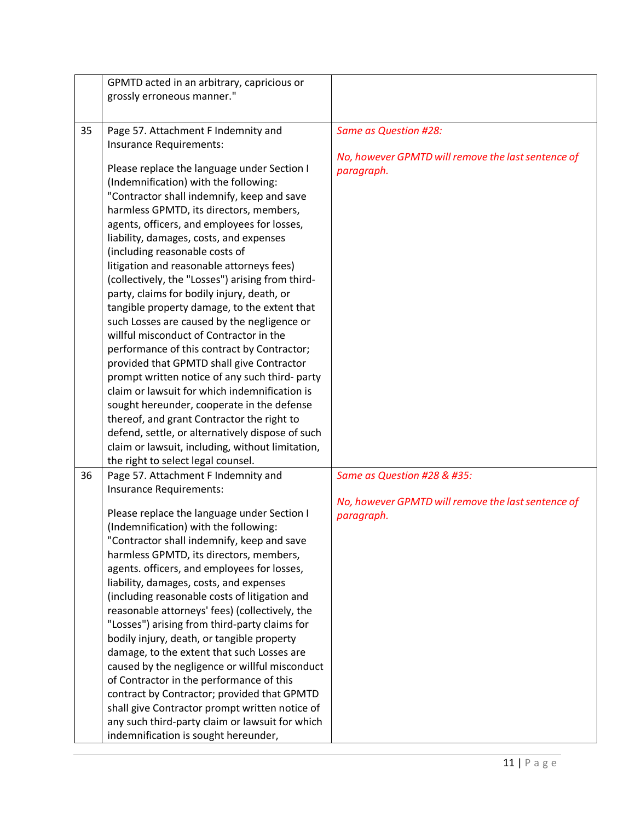|    | GPMTD acted in an arbitrary, capricious or       |                                                    |
|----|--------------------------------------------------|----------------------------------------------------|
|    | grossly erroneous manner."                       |                                                    |
|    |                                                  |                                                    |
|    |                                                  |                                                    |
| 35 | Page 57. Attachment F Indemnity and              | <b>Same as Question #28:</b>                       |
|    | Insurance Requirements:                          | No, however GPMTD will remove the last sentence of |
|    | Please replace the language under Section I      | paragraph.                                         |
|    | (Indemnification) with the following:            |                                                    |
|    | "Contractor shall indemnify, keep and save       |                                                    |
|    | harmless GPMTD, its directors, members,          |                                                    |
|    | agents, officers, and employees for losses,      |                                                    |
|    | liability, damages, costs, and expenses          |                                                    |
|    | (including reasonable costs of                   |                                                    |
|    | litigation and reasonable attorneys fees)        |                                                    |
|    | (collectively, the "Losses") arising from third- |                                                    |
|    | party, claims for bodily injury, death, or       |                                                    |
|    | tangible property damage, to the extent that     |                                                    |
|    | such Losses are caused by the negligence or      |                                                    |
|    | willful misconduct of Contractor in the          |                                                    |
|    | performance of this contract by Contractor;      |                                                    |
|    | provided that GPMTD shall give Contractor        |                                                    |
|    | prompt written notice of any such third- party   |                                                    |
|    | claim or lawsuit for which indemnification is    |                                                    |
|    | sought hereunder, cooperate in the defense       |                                                    |
|    | thereof, and grant Contractor the right to       |                                                    |
|    | defend, settle, or alternatively dispose of such |                                                    |
|    | claim or lawsuit, including, without limitation, |                                                    |
|    | the right to select legal counsel.               |                                                    |
| 36 | Page 57. Attachment F Indemnity and              | Same as Question #28 & #35:                        |
|    | Insurance Requirements:                          |                                                    |
|    |                                                  | No, however GPMTD will remove the last sentence of |
|    | Please replace the language under Section I      | paragraph.                                         |
|    | (Indemnification) with the following:            |                                                    |
|    | 'Contractor shall indemnify, keep and save       |                                                    |
|    | harmless GPMTD, its directors, members,          |                                                    |
|    | agents. officers, and employees for losses,      |                                                    |
|    | liability, damages, costs, and expenses          |                                                    |
|    | (including reasonable costs of litigation and    |                                                    |
|    | reasonable attorneys' fees) (collectively, the   |                                                    |
|    | "Losses") arising from third-party claims for    |                                                    |
|    | bodily injury, death, or tangible property       |                                                    |
|    | damage, to the extent that such Losses are       |                                                    |
|    | caused by the negligence or willful misconduct   |                                                    |
|    | of Contractor in the performance of this         |                                                    |
|    | contract by Contractor; provided that GPMTD      |                                                    |
|    | shall give Contractor prompt written notice of   |                                                    |
|    | any such third-party claim or lawsuit for which  |                                                    |
|    | indemnification is sought hereunder,             |                                                    |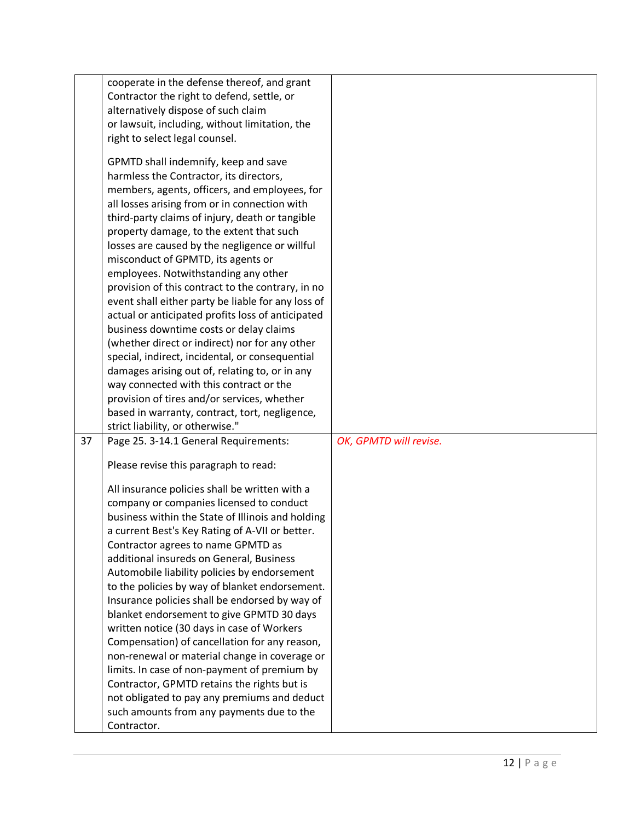|    | cooperate in the defense thereof, and grant        |                        |
|----|----------------------------------------------------|------------------------|
|    | Contractor the right to defend, settle, or         |                        |
|    |                                                    |                        |
|    | alternatively dispose of such claim                |                        |
|    | or lawsuit, including, without limitation, the     |                        |
|    | right to select legal counsel.                     |                        |
|    | GPMTD shall indemnify, keep and save               |                        |
|    |                                                    |                        |
|    | harmless the Contractor, its directors,            |                        |
|    | members, agents, officers, and employees, for      |                        |
|    | all losses arising from or in connection with      |                        |
|    | third-party claims of injury, death or tangible    |                        |
|    | property damage, to the extent that such           |                        |
|    | losses are caused by the negligence or willful     |                        |
|    | misconduct of GPMTD, its agents or                 |                        |
|    | employees. Notwithstanding any other               |                        |
|    | provision of this contract to the contrary, in no  |                        |
|    | event shall either party be liable for any loss of |                        |
|    | actual or anticipated profits loss of anticipated  |                        |
|    | business downtime costs or delay claims            |                        |
|    | (whether direct or indirect) nor for any other     |                        |
|    | special, indirect, incidental, or consequential    |                        |
|    | damages arising out of, relating to, or in any     |                        |
|    | way connected with this contract or the            |                        |
|    | provision of tires and/or services, whether        |                        |
|    |                                                    |                        |
|    | based in warranty, contract, tort, negligence,     |                        |
|    | strict liability, or otherwise."                   |                        |
| 37 | Page 25. 3-14.1 General Requirements:              | OK, GPMTD will revise. |
|    | Please revise this paragraph to read:              |                        |
|    |                                                    |                        |
|    | All insurance policies shall be written with a     |                        |
|    | company or companies licensed to conduct           |                        |
|    | business within the State of Illinois and holding  |                        |
|    | a current Best's Key Rating of A-VII or better.    |                        |
|    | Contractor agrees to name GPMTD as                 |                        |
|    | additional insureds on General, Business           |                        |
|    | Automobile liability policies by endorsement       |                        |
|    | to the policies by way of blanket endorsement.     |                        |
|    | Insurance policies shall be endorsed by way of     |                        |
|    | blanket endorsement to give GPMTD 30 days          |                        |
|    | written notice (30 days in case of Workers         |                        |
|    | Compensation) of cancellation for any reason,      |                        |
|    |                                                    |                        |
|    | non-renewal or material change in coverage or      |                        |
|    | limits. In case of non-payment of premium by       |                        |
|    | Contractor, GPMTD retains the rights but is        |                        |
|    | not obligated to pay any premiums and deduct       |                        |
|    | such amounts from any payments due to the          |                        |
|    | Contractor.                                        |                        |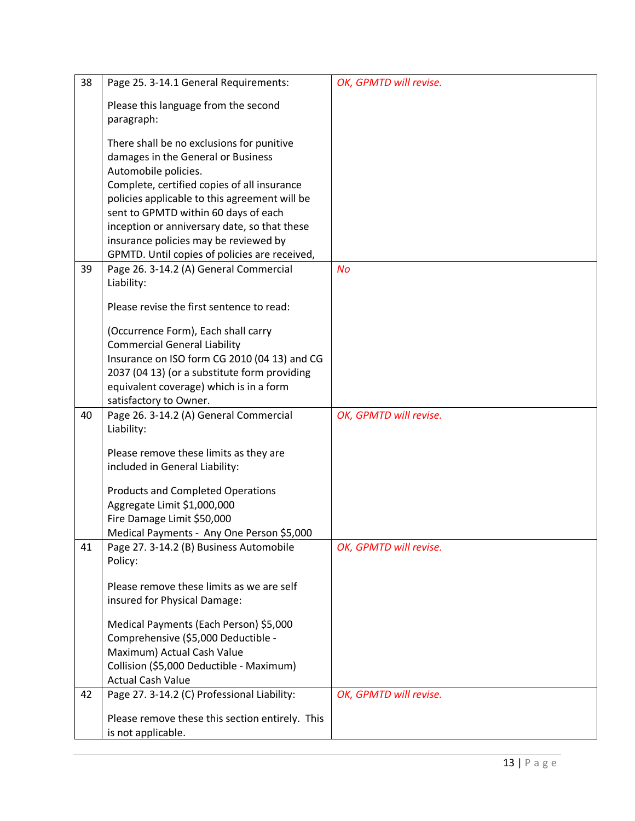| 38 | Page 25. 3-14.1 General Requirements:                            | OK, GPMTD will revise. |
|----|------------------------------------------------------------------|------------------------|
|    | Please this language from the second                             |                        |
|    | paragraph:                                                       |                        |
|    |                                                                  |                        |
|    | There shall be no exclusions for punitive                        |                        |
|    | damages in the General or Business                               |                        |
|    | Automobile policies.                                             |                        |
|    | Complete, certified copies of all insurance                      |                        |
|    | policies applicable to this agreement will be                    |                        |
|    | sent to GPMTD within 60 days of each                             |                        |
|    | inception or anniversary date, so that these                     |                        |
|    | insurance policies may be reviewed by                            |                        |
|    | GPMTD. Until copies of policies are received,                    |                        |
| 39 | Page 26. 3-14.2 (A) General Commercial                           | No                     |
|    | Liability:                                                       |                        |
|    | Please revise the first sentence to read:                        |                        |
|    |                                                                  |                        |
|    | (Occurrence Form), Each shall carry                              |                        |
|    | <b>Commercial General Liability</b>                              |                        |
|    | Insurance on ISO form CG 2010 (04 13) and CG                     |                        |
|    | 2037 (04 13) (or a substitute form providing                     |                        |
|    | equivalent coverage) which is in a form                          |                        |
| 40 | satisfactory to Owner.<br>Page 26. 3-14.2 (A) General Commercial | OK, GPMTD will revise. |
|    | Liability:                                                       |                        |
|    |                                                                  |                        |
|    | Please remove these limits as they are                           |                        |
|    | included in General Liability:                                   |                        |
|    | <b>Products and Completed Operations</b>                         |                        |
|    | Aggregate Limit \$1,000,000                                      |                        |
|    | Fire Damage Limit \$50,000                                       |                        |
|    | Medical Payments - Any One Person \$5,000                        |                        |
| 41 | Page 27. 3-14.2 (B) Business Automobile                          | OK, GPMTD will revise. |
|    | Policy:                                                          |                        |
|    |                                                                  |                        |
|    | Please remove these limits as we are self                        |                        |
|    | insured for Physical Damage:                                     |                        |
|    | Medical Payments (Each Person) \$5,000                           |                        |
|    | Comprehensive (\$5,000 Deductible -                              |                        |
|    | Maximum) Actual Cash Value                                       |                        |
|    | Collision (\$5,000 Deductible - Maximum)                         |                        |
|    | <b>Actual Cash Value</b>                                         |                        |
| 42 | Page 27. 3-14.2 (C) Professional Liability:                      | OK, GPMTD will revise. |
|    |                                                                  |                        |
|    | Please remove these this section entirely. This                  |                        |
|    | is not applicable.                                               |                        |